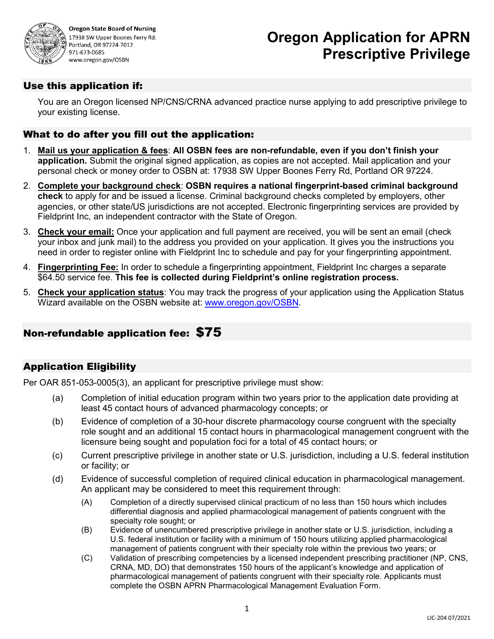

**Oregon State Board of Nursing** 17938 SW Upper Boones Ferry Rd. Portland, OR 97224-7012 971-673-0685 www.oregon.gov/OSBN

# **Oregon Application for APRN Prescriptive Privilege**

### Use this application if:

You are an Oregon licensed NP/CNS/CRNA advanced practice nurse applying to add prescriptive privilege to your existing license.

### What to do after you fill out the application:

- 1. **Mail us your application & fees**: **All OSBN fees are non-refundable, even if you don't finish your application.** Submit the original signed application, as copies are not accepted. Mail application and your personal check or money order to OSBN at: 17938 SW Upper Boones Ferry Rd, Portland OR 97224.
- 2. **Complete your background check**: **OSBN requires a national fingerprint-based criminal background check** to apply for and be issued a license. Criminal background checks completed by employers, other agencies, or other state/US jurisdictions are not accepted. Electronic fingerprinting services are provided by Fieldprint Inc, an independent contractor with the State of Oregon.
- 3. **Check your email:** Once your application and full payment are received, you will be sent an email (check your inbox and junk mail) to the address you provided on your application. It gives you the instructions you need in order to register online with Fieldprint Inc to schedule and pay for your fingerprinting appointment.
- 4. **Fingerprinting Fee:** In order to schedule a fingerprinting appointment, Fieldprint Inc charges a separate \$64.50 service fee. **This fee is collected during Fieldprint's online registration process.**
- 5. **Check your application status**: You may track the progress of your application using the Application Status Wizard available on the OSBN website at: [www.oregon.gov/OSBN.](https://osbn.oregon.gov/OSBNAppStatus/Search.aspx)

# Non-refundable application fee: \$75

## Application Eligibility

Per OAR 851-053-0005(3), an applicant for prescriptive privilege must show:

- (a) Completion of initial education program within two years prior to the application date providing at least 45 contact hours of advanced pharmacology concepts; or
- (b) Evidence of completion of a 30-hour discrete pharmacology course congruent with the specialty role sought and an additional 15 contact hours in pharmacological management congruent with the licensure being sought and population foci for a total of 45 contact hours; or
- (c) Current prescriptive privilege in another state or U.S. jurisdiction, including a U.S. federal institution or facility; or
- (d) Evidence of successful completion of required clinical education in pharmacological management. An applicant may be considered to meet this requirement through:
	- (A) Completion of a directly supervised clinical practicum of no less than 150 hours which includes differential diagnosis and applied pharmacological management of patients congruent with the specialty role sought; or
	- (B) Evidence of unencumbered prescriptive privilege in another state or U.S. jurisdiction, including a U.S. federal institution or facility with a minimum of 150 hours utilizing applied pharmacological management of patients congruent with their specialty role within the previous two years; or
	- (C) Validation of prescribing competencies by a licensed independent prescribing practitioner (NP, CNS, CRNA, MD, DO) that demonstrates 150 hours of the applicant's knowledge and application of pharmacological management of patients congruent with their specialty role. Applicants must complete the OSBN APRN Pharmacological Management Evaluation Form.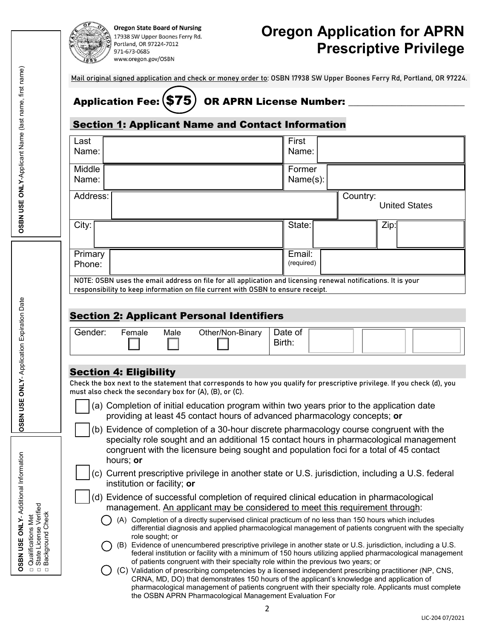

**Oregon State Board of Nursing** 

17938 SW Upper Boones Ferry Rd. Portland, OR 97224-7012 971-673-0685 www.oregon.gov/OSBN

# **Oregon Application for APRN Prescriptive Privilege**

Mail original signed application and check or money order to: OSBN 17938 SW Upper Boones Ferry Rd, Portland, OR 97224.

# Application Fee: (\$75) OR APRN License Number:

## Section 1: Applicant Name and Contact Information

| Last<br>Name:                                           |                 |                             |                                                                                                                                                                                                                                                                                                              | First<br>Name:       |          |      |                      |
|---------------------------------------------------------|-----------------|-----------------------------|--------------------------------------------------------------------------------------------------------------------------------------------------------------------------------------------------------------------------------------------------------------------------------------------------------------|----------------------|----------|------|----------------------|
| Middle                                                  |                 |                             |                                                                                                                                                                                                                                                                                                              | Former               |          |      |                      |
| Name:                                                   |                 |                             |                                                                                                                                                                                                                                                                                                              | Name(s):             |          |      |                      |
| Address:                                                |                 |                             |                                                                                                                                                                                                                                                                                                              |                      | Country: |      | <b>United States</b> |
| City:                                                   |                 |                             |                                                                                                                                                                                                                                                                                                              | State:               |          | Zip: |                      |
| Primary<br>Phone:                                       |                 |                             |                                                                                                                                                                                                                                                                                                              | Email:<br>(required) |          |      |                      |
|                                                         |                 |                             | NOTE: OSBN uses the email address on file for all application and licensing renewal notifications. It is your                                                                                                                                                                                                |                      |          |      |                      |
|                                                         |                 |                             | responsibility to keep information on file current with OSBN to ensure receipt.                                                                                                                                                                                                                              |                      |          |      |                      |
|                                                         |                 |                             |                                                                                                                                                                                                                                                                                                              |                      |          |      |                      |
|                                                         |                 |                             | <b>Section 2: Applicant Personal Identifiers</b>                                                                                                                                                                                                                                                             |                      |          |      |                      |
| Gender:                                                 | Female          | Male                        | Other/Non-Binary                                                                                                                                                                                                                                                                                             | Date of<br>Birth:    |          |      |                      |
|                                                         |                 |                             |                                                                                                                                                                                                                                                                                                              |                      |          |      |                      |
| <b>Section 4: Eligibility</b>                           |                 |                             | Check the box next to the statement that corresponds to how you qualify for prescriptive privilege. If you check (d), you                                                                                                                                                                                    |                      |          |      |                      |
| must also check the secondary box for (A), (B), or (C). |                 |                             |                                                                                                                                                                                                                                                                                                              |                      |          |      |                      |
|                                                         |                 |                             | (a) Completion of initial education program within two years prior to the application date<br>providing at least 45 contact hours of advanced pharmacology concepts; or                                                                                                                                      |                      |          |      |                      |
|                                                         | hours; or       |                             | (b) Evidence of completion of a 30-hour discrete pharmacology course congruent with the<br>specialty role sought and an additional 15 contact hours in pharmacological management<br>congruent with the licensure being sought and population foci for a total of 45 contact                                 |                      |          |      |                      |
| (c)                                                     |                 | institution or facility; or | Current prescriptive privilege in another state or U.S. jurisdiction, including a U.S. federal                                                                                                                                                                                                               |                      |          |      |                      |
|                                                         |                 |                             | (d) Evidence of successful completion of required clinical education in pharmacological<br>management. An applicant may be considered to meet this requirement through:                                                                                                                                      |                      |          |      |                      |
|                                                         |                 |                             | (A) Completion of a directly supervised clinical practicum of no less than 150 hours which includes<br>differential diagnosis and applied pharmacological management of patients congruent with the specialty                                                                                                |                      |          |      |                      |
|                                                         | role sought; or |                             | (B) Evidence of unencumbered prescriptive privilege in another state or U.S. jurisdiction, including a U.S.<br>federal institution or facility with a minimum of 150 hours utilizing applied pharmacological management<br>of patients congruent with their specialty role within the previous two years; or |                      |          |      |                      |
|                                                         |                 |                             | (C) Validation of prescribing competencies by a licensed independent prescribing practitioner (NP, CNS,<br>CRNA, MD, DO) that demonstrates 150 hours of the applicant's knowledge and application of<br>pharmacological management of patients congruent with their specialty role. Applicants must complete |                      |          |      |                      |

**OSBN USE ONLY**- Additional Information

OSBN USE ONLY-Additional Information

□□□

□ Qualifications Met State License Verified Background Check

LIC-204 07/2021

the OSBN APRN Pharmacological Management Evaluation For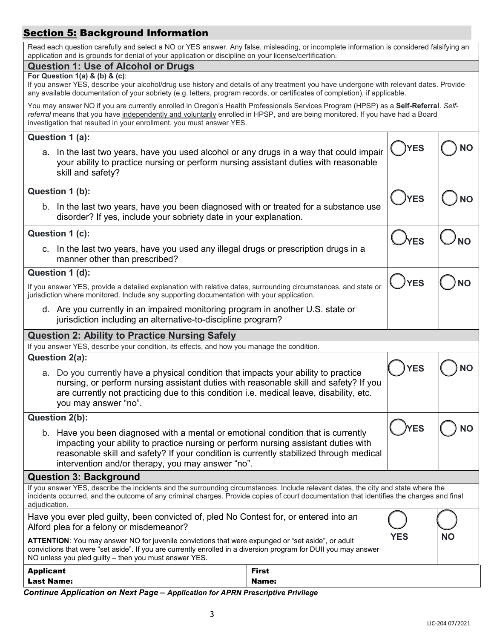# **Section 5: Background Information**

| Read each question carefully and select a NO or YES answer. Any false, misleading, or incomplete information is considered falsifying an<br>application and is grounds for denial of your application or discipline on your license/certification.                                                                                                 |                                                                                                                                        |  |  |  |  |  |
|----------------------------------------------------------------------------------------------------------------------------------------------------------------------------------------------------------------------------------------------------------------------------------------------------------------------------------------------------|----------------------------------------------------------------------------------------------------------------------------------------|--|--|--|--|--|
| <b>Question 1: Use of Alcohol or Drugs</b>                                                                                                                                                                                                                                                                                                         |                                                                                                                                        |  |  |  |  |  |
| For Question 1(a) & (b) & (c):<br>any available documentation of your sobriety (e.g. letters, program records, or certificates of completion), if applicable.                                                                                                                                                                                      | If you answer YES, describe your alcohol/drug use history and details of any treatment you have undergone with relevant dates. Provide |  |  |  |  |  |
| You may answer NO if you are currently enrolled in Oregon's Health Professionals Services Program (HPSP) as a Self-Referral. Self-<br>referral means that you have independently and voluntarily enrolled in HPSP, and are being monitored. If you have had a Board<br>investigation that resulted in your enrollment, you must answer YES.        |                                                                                                                                        |  |  |  |  |  |
| Question 1 (a):                                                                                                                                                                                                                                                                                                                                    |                                                                                                                                        |  |  |  |  |  |
| <b>YES</b><br>NΟ<br>a. In the last two years, have you used alcohol or any drugs in a way that could impair<br>your ability to practice nursing or perform nursing assistant duties with reasonable<br>skill and safety?                                                                                                                           |                                                                                                                                        |  |  |  |  |  |
| Question 1 (b):                                                                                                                                                                                                                                                                                                                                    | NΟ                                                                                                                                     |  |  |  |  |  |
| <b>YES</b><br>b. In the last two years, have you been diagnosed with or treated for a substance use<br>disorder? If yes, include your sobriety date in your explanation.                                                                                                                                                                           |                                                                                                                                        |  |  |  |  |  |
| Question 1 (c):                                                                                                                                                                                                                                                                                                                                    |                                                                                                                                        |  |  |  |  |  |
| <b>ES</b><br>c. In the last two years, have you used any illegal drugs or prescription drugs in a<br>manner other than prescribed?                                                                                                                                                                                                                 |                                                                                                                                        |  |  |  |  |  |
| Question 1 (d):                                                                                                                                                                                                                                                                                                                                    |                                                                                                                                        |  |  |  |  |  |
| <b>YES</b><br>NΟ<br>If you answer YES, provide a detailed explanation with relative dates, surrounding circumstances, and state or<br>jurisdiction where monitored. Include any supporting documentation with your application.                                                                                                                    |                                                                                                                                        |  |  |  |  |  |
| d. Are you currently in an impaired monitoring program in another U.S. state or<br>jurisdiction including an alternative-to-discipline program?                                                                                                                                                                                                    |                                                                                                                                        |  |  |  |  |  |
| <b>Question 2: Ability to Practice Nursing Safely</b>                                                                                                                                                                                                                                                                                              |                                                                                                                                        |  |  |  |  |  |
| If you answer YES, describe your condition, its effects, and how you manage the condition.                                                                                                                                                                                                                                                         |                                                                                                                                        |  |  |  |  |  |
| Question 2(a):                                                                                                                                                                                                                                                                                                                                     | <b>YES</b><br>NΟ                                                                                                                       |  |  |  |  |  |
| a. Do you currently have a physical condition that impacts your ability to practice<br>nursing, or perform nursing assistant duties with reasonable skill and safety? If you<br>are currently not practicing due to this condition i.e. medical leave, disability, etc.<br>you may answer "no".                                                    |                                                                                                                                        |  |  |  |  |  |
| Question 2(b):                                                                                                                                                                                                                                                                                                                                     |                                                                                                                                        |  |  |  |  |  |
| <b>YES</b><br><b>NO</b><br>b. Have you been diagnosed with a mental or emotional condition that is currently<br>impacting your ability to practice nursing or perform nursing assistant duties with<br>reasonable skill and safety? If your condition is currently stabilized through medical<br>intervention and/or therapy, you may answer "no". |                                                                                                                                        |  |  |  |  |  |
| <b>Question 3: Background</b>                                                                                                                                                                                                                                                                                                                      |                                                                                                                                        |  |  |  |  |  |
| If you answer YES, describe the incidents and the surrounding circumstances. Include relevant dates, the city and state where the<br>incidents occurred, and the outcome of any criminal charges. Provide copies of court documentation that identifies the charges and final<br>adjudication.                                                     |                                                                                                                                        |  |  |  |  |  |
| Have you ever pled guilty, been convicted of, pled No Contest for, or entered into an<br>Alford plea for a felony or misdemeanor?                                                                                                                                                                                                                  |                                                                                                                                        |  |  |  |  |  |
| <b>YES</b><br><b>NO</b><br>ATTENTION: You may answer NO for juvenile convictions that were expunged or "set aside", or adult<br>convictions that were "set aside". If you are currently enrolled in a diversion program for DUII you may answer<br>NO unless you pled guilty - then you must answer YES.                                           |                                                                                                                                        |  |  |  |  |  |
| <b>Applicant</b><br><b>Last Name:</b>                                                                                                                                                                                                                                                                                                              | First<br>Name:                                                                                                                         |  |  |  |  |  |
|                                                                                                                                                                                                                                                                                                                                                    |                                                                                                                                        |  |  |  |  |  |

*Continue Application on Next Page – Application for APRN Prescriptive Privilege*